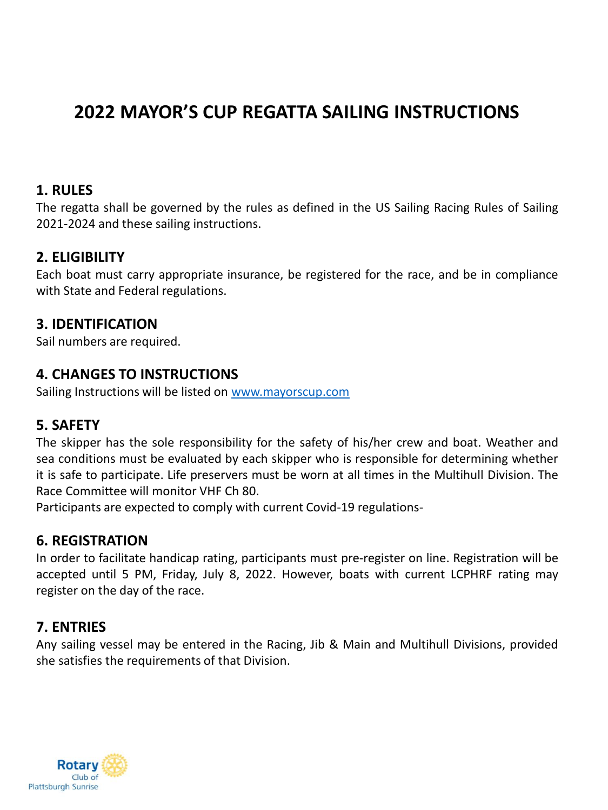# **2022 MAYOR'S CUP REGATTA SAILING INSTRUCTIONS**

#### **1. RULES**

The regatta shall be governed by the rules as defined in the US Sailing Racing Rules of Sailing 2021-2024 and these sailing instructions.

#### **2. ELIGIBILITY**

Each boat must carry appropriate insurance, be registered for the race, and be in compliance with State and Federal regulations.

### **3. IDENTIFICATION**

Sail numbers are required.

### **4. CHANGES TO INSTRUCTIONS**

Sailing Instructions will be listed on [www.mayorscup.com](http://www.mayorscup.com/)

# **5. SAFETY**

The skipper has the sole responsibility for the safety of his/her crew and boat. Weather and sea conditions must be evaluated by each skipper who is responsible for determining whether it is safe to participate. Life preservers must be worn at all times in the Multihull Division. The Race Committee will monitor VHF Ch 80.

Participants are expected to comply with current Covid-19 regulations-

### **6. REGISTRATION**

In order to facilitate handicap rating, participants must pre-register on line. Registration will be accepted until 5 PM, Friday, July 8, 2022. However, boats with current LCPHRF rating may register on the day of the race.

# **7. ENTRIES**

Any sailing vessel may be entered in the Racing, Jib & Main and Multihull Divisions, provided she satisfies the requirements of that Division.

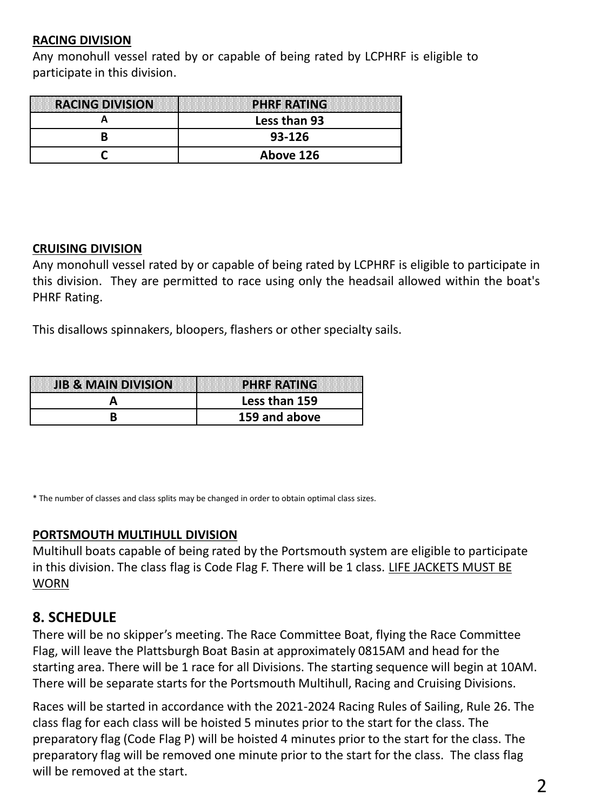#### **RACING DIVISION**

Any monohull vessel rated by or capable of being rated by LCPHRF is eligible to participate in this division.

| <b>RACING DIVISION</b> | <b>PHRF RATING</b> |
|------------------------|--------------------|
|                        | Less than 93       |
|                        | 93-126             |
|                        | Above 126          |

#### **CRUISING DIVISION**

Any monohull vessel rated by or capable of being rated by LCPHRF is eligible to participate in this division. They are permitted to race using only the headsail allowed within the boat's PHRF Rating.

This disallows spinnakers, bloopers, flashers or other specialty sails.

| <b>JIB &amp; MAIN DIVISION</b> | <b>PHRF RATING</b> |
|--------------------------------|--------------------|
|                                | Less than 159      |
|                                | 159 and above      |

\* The number of classes and class splits may be changed in order to obtain optimal class sizes.

#### **PORTSMOUTH MULTIHULL DIVISION**

Multihull boats capable of being rated by the Portsmouth system are eligible to participate in this division. The class flag is Code Flag F. There will be 1 class. LIFE JACKETS MUST BE WORN

### **8. SCHEDULE**

There will be no skipper's meeting. The Race Committee Boat, flying the Race Committee Flag, will leave the Plattsburgh Boat Basin at approximately 0815AM and head for the starting area. There will be 1 race for all Divisions. The starting sequence will begin at 10AM. There will be separate starts for the Portsmouth Multihull, Racing and Cruising Divisions.

Races will be started in accordance with the 2021-2024 Racing Rules of Sailing, Rule 26. The class flag for each class will be hoisted 5 minutes prior to the start for the class. The preparatory flag (Code Flag P) will be hoisted 4 minutes prior to the start for the class. The preparatory flag will be removed one minute prior to the start for the class. The class flag will be removed at the start.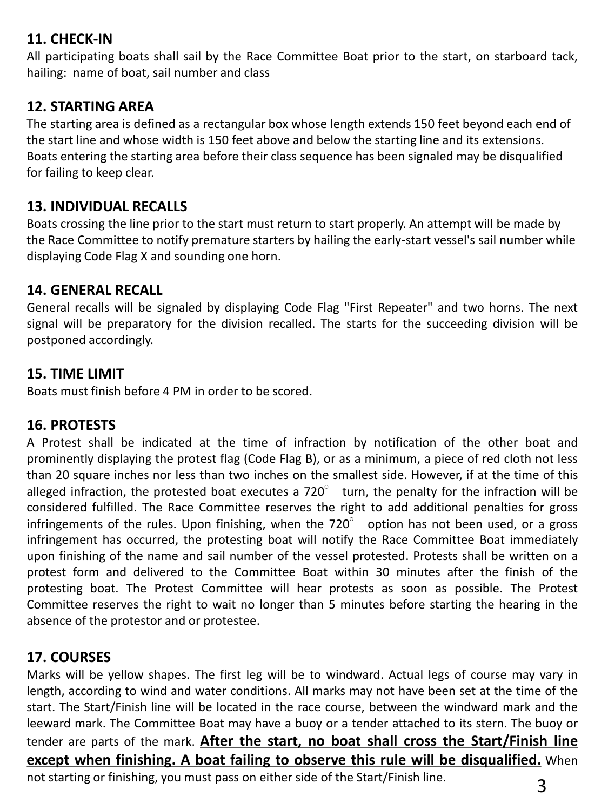# **11. CHECK-IN**

All participating boats shall sail by the Race Committee Boat prior to the start, on starboard tack, hailing: name of boat, sail number and class

# **12. STARTING AREA**

The starting area is defined as a rectangular box whose length extends 150 feet beyond each end of the start line and whose width is 150 feet above and below the starting line and its extensions. Boats entering the starting area before their class sequence has been signaled may be disqualified for failing to keep clear.

# **13. INDIVIDUAL RECALLS**

Boats crossing the line prior to the start must return to start properly. An attempt will be made by the Race Committee to notify premature starters by hailing the early-start vessel's sail number while displaying Code Flag X and sounding one horn.

### **14. GENERAL RECALL**

General recalls will be signaled by displaying Code Flag "First Repeater" and two horns. The next signal will be preparatory for the division recalled. The starts for the succeeding division will be postponed accordingly.

### **15. TIME LIMIT**

Boats must finish before 4 PM in order to be scored.

### **16. PROTESTS**

A Protest shall be indicated at the time of infraction by notification of the other boat and prominently displaying the protest flag (Code Flag B), or as a minimum, a piece of red cloth not less than 20 square inches nor less than two inches on the smallest side. However, if at the time of this alleged infraction, the protested boat executes a 720 $^{\circ}$  turn, the penalty for the infraction will be considered fulfilled. The Race Committee reserves the right to add additional penalties for gross infringements of the rules. Upon finishing, when the  $720^\circ$  option has not been used, or a gross infringement has occurred, the protesting boat will notify the Race Committee Boat immediately upon finishing of the name and sail number of the vessel protested. Protests shall be written on a protest form and delivered to the Committee Boat within 30 minutes after the finish of the protesting boat. The Protest Committee will hear protests as soon as possible. The Protest Committee reserves the right to wait no longer than 5 minutes before starting the hearing in the absence of the protestor and or protestee.

# **17. COURSES**

Marks will be yellow shapes. The first leg will be to windward. Actual legs of course may vary in length, according to wind and water conditions. All marks may not have been set at the time of the start. The Start/Finish line will be located in the race course, between the windward mark and the leeward mark. The Committee Boat may have a buoy or a tender attached to its stern. The buoy or tender are parts of the mark. **After the start, no boat shall cross the Start/Finish line except when finishing. A boat failing to observe this rule will be disqualified.** When not starting or finishing, you must pass on either side of the Start/Finish line.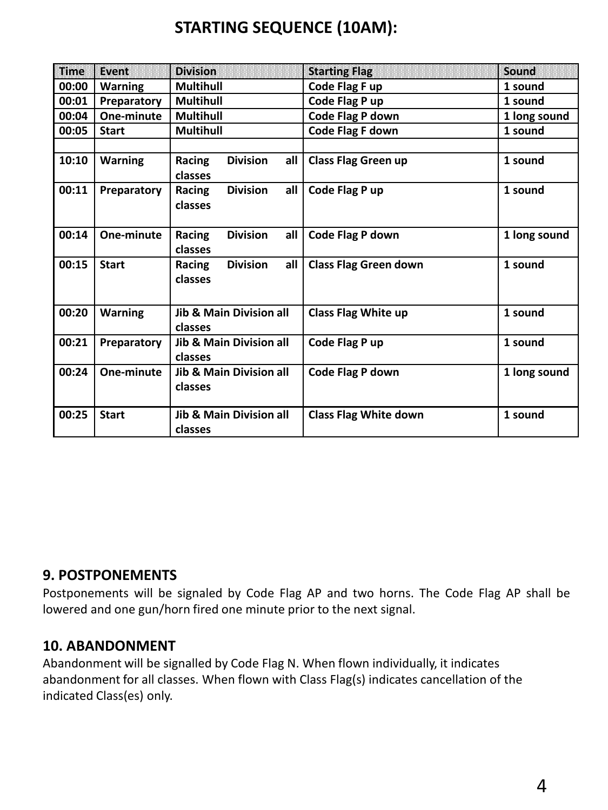# **STARTING SEQUENCE (10AM):**

| <b>Time</b> | Event          | <b>Division</b>                               | <b>Starting Flag</b>         | Sound        |
|-------------|----------------|-----------------------------------------------|------------------------------|--------------|
| 00:00       | <b>Warning</b> | <b>Multihull</b>                              | Code Flag F up               | 1 sound      |
| 00:01       | Preparatory    | <b>Multihull</b>                              | Code Flag P up               | 1 sound      |
| 00:04       | One-minute     | <b>Multihull</b>                              | Code Flag P down             | 1 long sound |
| 00:05       | <b>Start</b>   | <b>Multihull</b>                              | <b>Code Flag F down</b>      | 1 sound      |
|             |                |                                               |                              |              |
| 10:10       | <b>Warning</b> | <b>Division</b><br>Racing<br>all<br>classes   | <b>Class Flag Green up</b>   | 1 sound      |
| 00:11       | Preparatory    | <b>Division</b><br>all<br>Racing<br>classes   | Code Flag P up               | 1 sound      |
| 00:14       | One-minute     | <b>Division</b><br>Racing<br>all<br>classes   | <b>Code Flag P down</b>      | 1 long sound |
| 00:15       | <b>Start</b>   | <b>Division</b><br>all<br>Racing<br>classes   | <b>Class Flag Green down</b> | 1 sound      |
| 00:20       | <b>Warning</b> | Jib & Main Division all<br>classes            | <b>Class Flag White up</b>   | 1 sound      |
| 00:21       | Preparatory    | Jib & Main Division all<br>classes            | Code Flag P up               | 1 sound      |
| 00:24       | One-minute     | Jib & Main Division all<br>classes            | Code Flag P down             | 1 long sound |
| 00:25       | <b>Start</b>   | <b>Jib &amp; Main Division all</b><br>classes | <b>Class Flag White down</b> | 1 sound      |

### **9. POSTPONEMENTS**

Postponements will be signaled by Code Flag AP and two horns. The Code Flag AP shall be lowered and one gun/horn fired one minute prior to the next signal.

### **10. ABANDONMENT**

Abandonment will be signalled by Code Flag N. When flown individually, it indicates abandonment for all classes. When flown with Class Flag(s) indicates cancellation of the indicated Class(es) only.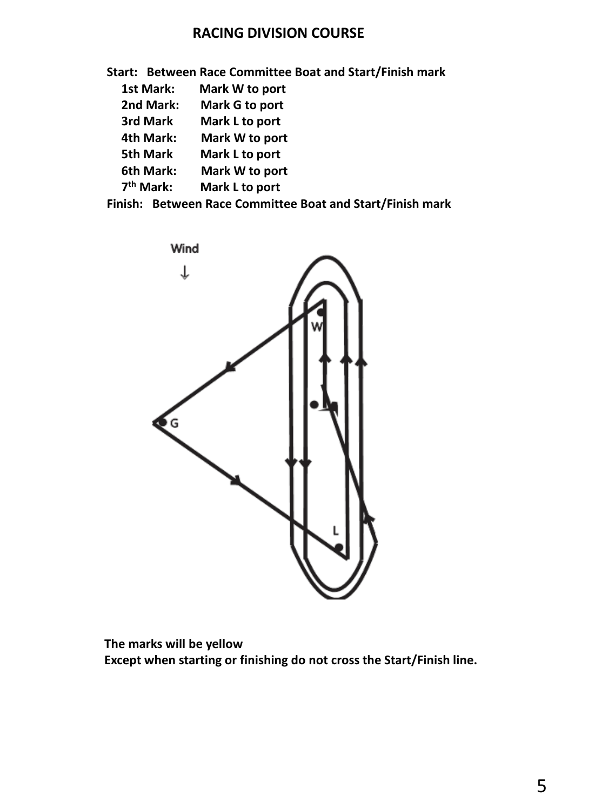# **RACING DIVISION COURSE: RACING DIVISION COURSE**

|             | Start: Between Race Committee Boat and Start/Finish mark |
|-------------|----------------------------------------------------------|
| 1st Mark:   | Mark W to port                                           |
| 2nd Mark:   | Mark G to port                                           |
| 3rd Mark    | Mark L to port                                           |
| 4th Mark:   | Mark W to port                                           |
| 5th Mark    | Mark L to port                                           |
| 6th Mark:   | Mark W to port                                           |
| $7th$ Mark: | Mark L to port                                           |

 **Finish: Between Race Committee Boat and Start/Finish mark**



**The marks will be yellow Except when starting or finishing do not cross the Start/Finish line.**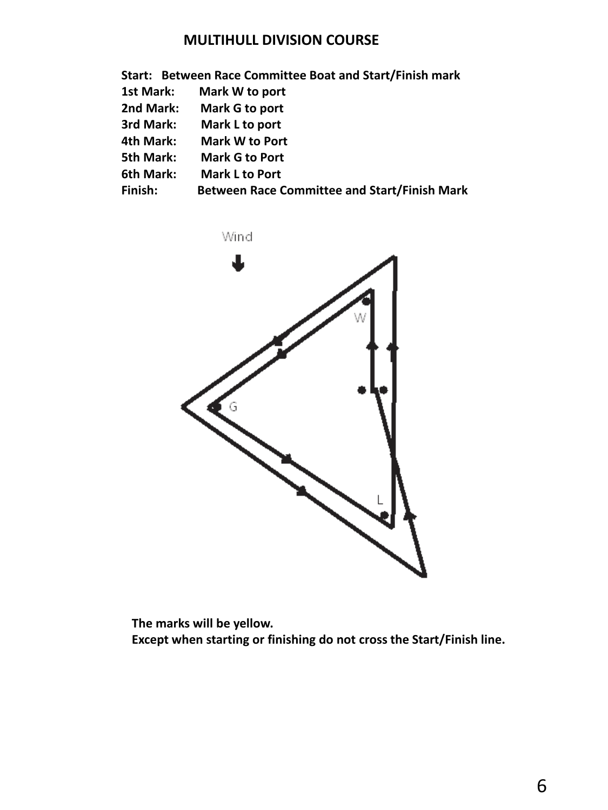# **MULTIHULL DIVISION COURSE MULTIHULL DIVISION COURSE**

**Start: Between Race Committee Boat and Start/Finish mark**

| 1st Mark: | Mark W to port                                      |
|-----------|-----------------------------------------------------|
| 2nd Mark: | Mark G to port                                      |
| 3rd Mark: | Mark L to port                                      |
| 4th Mark: | <b>Mark W to Port</b>                               |
| 5th Mark: | <b>Mark G to Port</b>                               |
| 6th Mark: | <b>Mark L to Port</b>                               |
| Finish:   | <b>Between Race Committee and Start/Finish Mark</b> |

Wind

**The marks will be yellow. Except when starting or finishing do not cross the Start/Finish line.**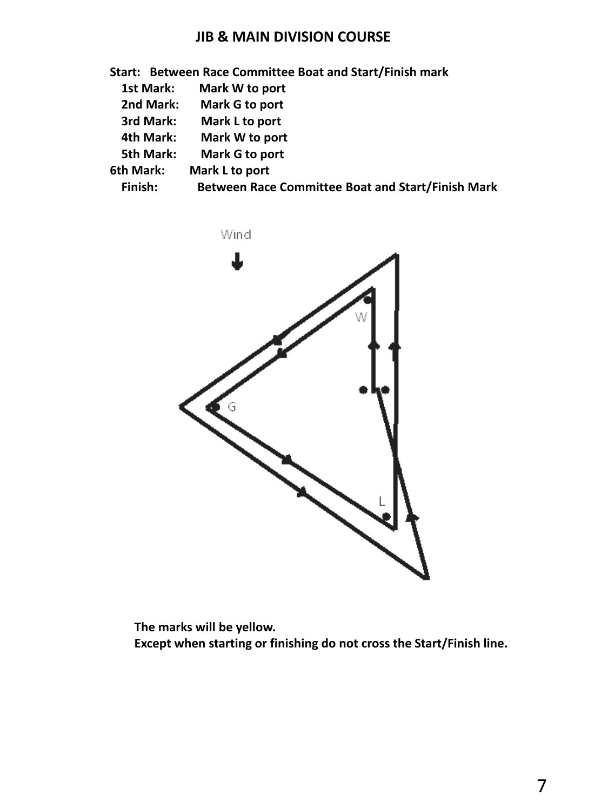# **CRUISING DIVISION COURSE JIB & MAIN DIVISION COURSE**

|           | Start: Between Race Committee Boat and Start/Finish mark |
|-----------|----------------------------------------------------------|
| 1st Mark: | Mark W to port                                           |
| 2nd Mark: | Mark G to port                                           |
| 3rd Mark: | Mark L to port                                           |
| 4th Mark: | Mark W to port                                           |
| 5th Mark: | Mark G to port                                           |
| 6th Mark: | Mark L to port                                           |
| Finish:   | <b>Between Race Committee Boat and Start/Finish Mark</b> |
|           |                                                          |



**The marks will be yellow. Except when starting or finishing do not cross the Start/Finish line.**